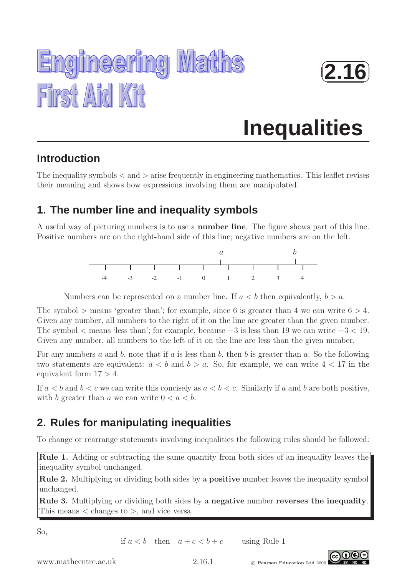



# **Inequalities**

## **Introduction**

The inequality symbols  $\langle$  and  $\rangle$  arise frequently in engineering mathematics. This leaflet revises their meaning and shows how expressions involving them are manipulated.

## **1. The number line and inequality symbols**

A useful way of picturing numbers is to use a number line. The figure shows part of this line. Positive numbers are on the right-hand side of this line; negative numbers are on the left.



Numbers can be represented on a number line. If  $a < b$  then equivalently,  $b > a$ .

The symbol  $>$  means 'greater than'; for example, since 6 is greater than 4 we can write  $6 > 4$ . Given any number, all numbers to the right of it on the line are greater than the given number. The symbol  $\lt$  means 'less than'; for example, because  $-3$  is less than 19 we can write  $-3 \lt 19$ . Given any number, all numbers to the left of it on the line are less than the given number.

For any numbers a and b, note that if a is less than b, then b is greater than a. So the following two statements are equivalent:  $a < b$  and  $b > a$ . So, for example, we can write  $4 < 17$  in the equivalent form  $17 > 4$ .

If  $a < b$  and  $b < c$  we can write this concisely as  $a < b < c$ . Similarly if a and b are both positive, with b greater than a we can write  $0 < a < b$ .

## **2. Rules for manipulating inequalities**

To change or rearrange statements involving inequalities the following rules should be followed:

Rule 1. Adding or subtracting the same quantity from both sides of an inequality leaves the inequality symbol unchanged.

Rule 2. Multiplying or dividing both sides by a **positive** number leaves the inequality symbol unchanged.

Rule 3. Multiplying or dividing both sides by a negative number reverses the inequality. This means  $\langle$  changes to  $\rangle$ , and vice versa.

So,

if  $a < b$  then  $a + c < b + c$  using Rule 1